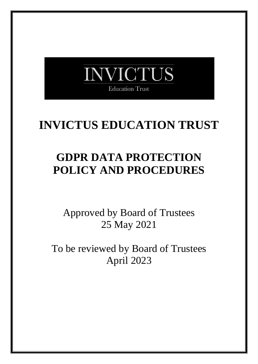

# **INVICTUS EDUCATION TRUST**

# **GDPR DATA PROTECTION POLICY AND PROCEDURES**

Approved by Board of Trustees 25 May 2021

To be reviewed by Board of Trustees April 2023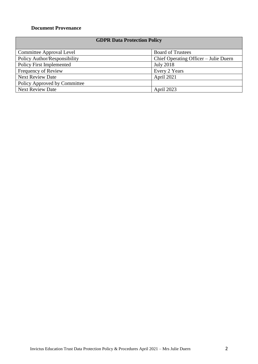## **Document Provenance**

# **GDPR Data Protection Policy**

| <b>Committee Approval Level</b> | <b>Board of Trustees</b>              |
|---------------------------------|---------------------------------------|
| Policy Author/Responsibility    | Chief Operating Officer – Julie Duern |
| <b>Policy First Implemented</b> | <b>July 2018</b>                      |
| Frequency of Review             | Every 2 Years                         |
| <b>Next Review Date</b>         | April 2021                            |
| Policy Approved by Committee    |                                       |
| <b>Next Review Date</b>         | April 2023                            |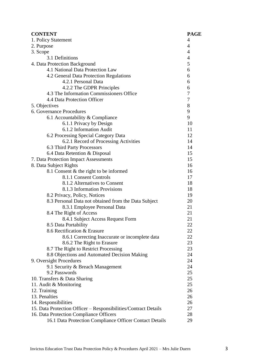| <b>CONTENT</b>                                                     | <b>PAGE</b> |  |
|--------------------------------------------------------------------|-------------|--|
| 1. Policy Statement                                                | 4           |  |
| 2. Purpose                                                         | 4           |  |
| 3. Scope                                                           |             |  |
| 3.1 Definitions                                                    | 4           |  |
| 4. Data Protection Background                                      |             |  |
| 4.1 National Data Protection Law                                   |             |  |
| 4.2 General Data Protection Regulations                            | 6           |  |
| 4.2.1 Personal Data                                                | 6           |  |
| 4.2.2 The GDPR Principles                                          | 6           |  |
| 4.3 The Information Commissioners Office                           | $\tau$      |  |
| 4.4 Data Protection Officer                                        | $\tau$      |  |
| 5. Objectives                                                      | $8\,$       |  |
| 6. Governance Procedures                                           | 9           |  |
| 6.1 Accountability & Compliance                                    | 9           |  |
| 6.1.1 Privacy by Design                                            | 10          |  |
| 6.1.2 Information Audit                                            | 11          |  |
| 6.2 Processing Special Category Data                               | 12          |  |
| 6.2.1 Record of Processing Activities                              | 14          |  |
| 6.3 Third Party Processors                                         | 14          |  |
| 6.4 Data Retention & Disposal                                      | 15          |  |
| 7. Data Protection Impact Assessments                              | 15          |  |
| 8. Data Subject Rights                                             | 16          |  |
| 8.1 Consent & the right to be informed                             | 16          |  |
| 8.1.1 Consent Controls                                             | 17          |  |
| 8.1.2 Alternatives to Consent                                      | 18          |  |
| 8.1.3 Information Provisions                                       | 18          |  |
| 8.2 Privacy, Policy, Notices                                       | 19          |  |
| 8.3 Personal Data not obtained from the Data Subject               | 20          |  |
| 8.3.1 Employee Personal Data                                       | 21          |  |
| 8.4 The Right of Access                                            | 21          |  |
| 8.4.1 Subject Access Request Form                                  | 21          |  |
| 8.5 Data Portability<br>8.6 Rectification & Erasure                | 22<br>22    |  |
|                                                                    | 22          |  |
| 8.6.1 Correcting Inaccurate or incomplete data                     | 23          |  |
| 8.6.2 The Right to Erasure<br>8.7 The Right to Restrict Processing | 23          |  |
| 8.8 Objections and Automated Decision Making                       | 24          |  |
| 9. Oversight Procedures                                            | 24          |  |
| 9.1 Security & Breach Management                                   | 24          |  |
| 9.2 Passwords                                                      | 25          |  |
| 10. Transfers & Data Sharing                                       | 25          |  |
| 11. Audit & Monitoring                                             | 25          |  |
| 12. Training                                                       | 26          |  |
| 13. Penalties                                                      | 26          |  |
| 14. Responsibilities                                               |             |  |
| 15. Data Protection Officer – Responsibilities/Contract Details    |             |  |
| 16. Data Protection Compliance Officers                            |             |  |
| 16.1 Data Protection Compliance Officer Contact Details            |             |  |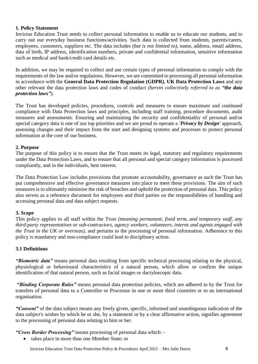## **1. Policy Statement**

Invictus Education Trust needs to collect personal information to enable us to educate our students, and to carry out our everyday business functions/activities. Such data is collected from students, parents/carers, employees, customers, suppliers etc. The data includes *(but is not limited to),* name, address, email address, data of birth, IP address, identification numbers, private and confidential information, sensitive information such as medical and bank/credit card details etc.

In addition, we may be required to collect and use certain types of personal information to comply with the requirements of the law and/or regulations. However, we are committed to processing all personal information in accordance with the **General Data Protection Regulation (GDPR)**, **UK Data Protection Laws** and any other relevant the data protection laws and codes of conduct *(herein collectively referred to as "the data protection laws").*

The Trust has developed policies, procedures, controls and measures to ensure maximum and continued compliance with Data Protection laws and principles, including staff training, procedure documents, audit measures and assessments. Ensuring and maintaining the security and confidentiality of personal and/or special category data is one of our top priorities and we are proud to operate a *'Privacy by Design'* approach, assessing changes and their impact from the start and designing systems and processes to protect personal information at the core of our business.

#### **2. Purpose**

The purpose of this policy is to ensure that the Trust meets its legal, statutory and regulatory requirements under the Data Protection Laws, and to ensure that all personal and special category information is processed compliantly, and in the individuals, best interest.

The Data Protection Law includes provisions that promote accountability, governance as such the Trust has put comprehensive and effective governance measures into place to meet these provisions. The aim of such measures is to ultimately minimise the risk of breaches and uphold the protection of personal data. This policy also serves as a reference document for employees and third parties on the responsibilities of handling and accessing personal data and data subject requests.

#### **3. Scope**

This policy applies to all staff within the Trust *(meaning permanent, fixed term, and temporary staff, any third-party representatives or sub-contractors, agency workers, volunteers, interns and agents engaged with the Trust in the UK or overseas),* and pertains to the processing of personal information. Adherence to this policy is mandatory and non-compliance could lead to disciplinary action.

## **3.1 Definitions**

*"Biometric data"* means personal data resulting from specific technical processing relating to the physical, physiological or behavioural characteristics of a natural person, which allow or confirm the unique identification of that natural person, such as facial images or dactyloscopic data.

*"Binding Corporate Rules"* means personal data protection policies, which are adhered to by the Trust for transfers of personal data to a Controller or Processor in one or more third countries or to an international organisation.

*"Consent"* of the data subject means any freely given, specific, informed and unambiguous indication of the data subject's wishes by which he or she, by a statement or by a clear affirmative action, signifies agreement to the processing of personal data relating to him or her.

*"Cross Border Processing"* means processing of personal data which: -

• takes place in more than one Member State; or

Invictus Education Trust Data Protection Policy & Procedures April 2021 – Mrs Julie Duern 4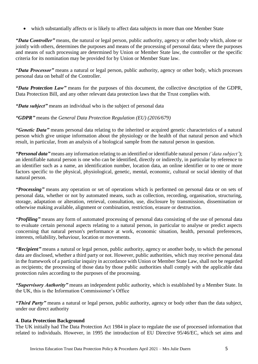which substantially affects or is likely to affect data subjects in more than one Member State

*"Data Controller"* means, the natural or legal person, public authority, agency or other body which, alone or jointly with others, determines the purposes and means of the processing of personal data; where the purposes and means of such processing are determined by Union or Member State law, the controller or the specific criteria for its nomination may be provided for by Union or Member State law.

*"Data Processor"* means a natural or legal person, public authority, agency or other body, which processes personal data on behalf of the Controller.

*"Data Protection Law"* means for the purposes of this document, the collective description of the GDPR, Data Protection Bill, and any other relevant data protection laws that the Trust complies with.

## *"Data subject"* means an individual who is the subject of personal data

*"GDPR"* means the *General Data Protection Regulation (EU) (2016/679)*

*"Genetic Data"* means personal data relating to the inherited or acquired genetic characteristics of a natural person which give unique information about the physiology or the health of that natural person and which result, in particular, from an analysis of a biological sample from the natural person in question.

*"Personal data"* means any information relating to an identified or identifiable natural person *('data subject'*); an identifiable natural person is one who can be identified, directly or indirectly, in particular by reference to an identifier such as a name, an identification number, location data, an online identifier or to one or more factors specific to the physical, physiological, genetic, mental, economic, cultural or social identity of that natural person.

*"Processing"* means any operation or set of operations which is performed on personal data or on sets of personal data, whether or not by automated means, such as collection, recording, organisation, structuring, storage, adaptation or alteration, retrieval, consultation, use, disclosure by transmission, dissemination or otherwise making available, alignment or combination, restriction, erasure or destruction.

*"Profiling"* means any form of automated processing of personal data consisting of the use of personal data to evaluate certain personal aspects relating to a natural person, in particular to analyse or predict aspects concerning that natural person's performance at work, economic situation, health, personal preferences, interests, reliability, behaviour, location or movements.

*"Recipient"* means a natural or legal person, public authority, agency or another body, to which the personal data are disclosed, whether a third party or not. However, public authorities, which may receive personal data in the framework of a particular inquiry in accordance with Union or Member State Law, shall not be regarded as recipients; the processing of those data by those public authorities shall comply with the applicable data protection rules according to the purposes of the processing.

*"Supervisory Authority"* means an independent public authority, which is established by a Member State. In the UK, this is the Information Commissioner's Office

*"Third Party"* means a natural or legal person, public authority, agency or body other than the data subject, under our direct authority

## **4. Data Protection Background**

The UK initially had The Data Protection Act 1984 in place to regulate the use of processed information that related to individuals. However, in 1995 the introduction of EU Directive 95/46/EC, which set aims and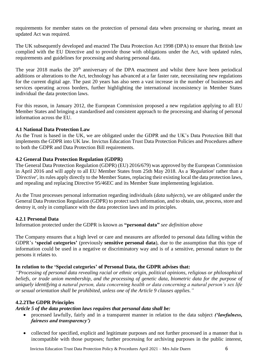requirements for member states on the protection of personal data when processing or sharing, meant an updated Act was required.

The UK subsequently developed and enacted The Data Protection Act 1998 (DPA) to ensure that British law complied with the EU Directive and to provide those with obligations under the Act, with updated rules, requirements and guidelines for processing and sharing personal data.

The year 2018 marks the 20<sup>th</sup> anniversary of the DPA enactment and whilst there have been periodical additions or alterations to the Act, technology has advanced at a far faster rate, necessitating new regulations for the current digital age. The past 20 years has also seen a vast increase in the number of businesses and services operating across borders, further highlighting the international inconsistency in Member States individual the data protection laws.

For this reason, in January 2012, the European Commission proposed a new regulation applying to all EU Member States and bringing a standardised and consistent approach to the processing and sharing of personal information across the EU.

## **4.1 National Data Protection Law**

As the Trust is based in the UK, we are obligated under the GDPR and the UK's Data Protection Bill that implements the GDPR into UK law. Invictus Education Trust Data Protection Policies and Procedures adhere to both the GDPR and Data Protection Bill requirements.

## **4.2 General Data Protection Regulation (GDPR)**

The General Data Protection Regulation (GDPR) (EU) 2016/679) was approved by the European Commission in April 2016 and will apply to all EU Member States from 25th May 2018. As a *'Regulation*' rather than a *'Directive'*, its rules apply directly to the Member States, replacing their existing local the data protection laws, and repealing and replacing Directive 95/46EC and its Member State implementing legislation.

As the Trust processes personal information regarding individuals (*data subjects*), we are obligated under the General Data Protection Regulation (GDPR) to protect such information, and to obtain, use, process, store and destroy it, only in compliance with the data protection laws and its principles.

## **4.2.1 Personal Data**

Information protected under the GDPR is known as **"personal data"** *see definition above*

The Company ensures that a high level or care and measures are afforded to personal data falling within the GDPR's **'special categories'** (previously **sensitive personal data**), due to the assumption that this type of information could be used in a negative or discriminatory way and is of a sensitive, personal nature to the persons it relates to.

## **In relation to the 'Special categories' of Personal Data, the GDPR advises that:**

*"Processing of personal data revealing racial or ethnic origin, political opinions, religious or philosophical beliefs, or trade union membership, and the processing of genetic data, biometric data for the purpose of uniquely identifying a natural person, data concerning health or data concerning a natural person's sex life or sexual orientation shall be prohibited, unless one of the Article 9 clauses applies."*

## **4.2.2The GDPR Principles**

## *Article 5 of the data protection laws requires that personal data shall be:*

- processed lawfully, fairly and in a transparent manner in relation to the data subject *('lawfulness, fairness and transparency')*
- collected for specified, explicit and legitimate purposes and not further processed in a manner that is incompatible with those purposes; further processing for archiving purposes in the public interest,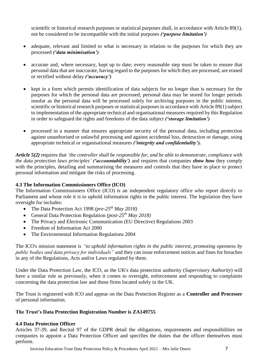scientific or historical research purposes or statistical purposes shall, in accordance with Article 89(1), not be considered to be incompatible with the initial purposes *('purpose limitation')*

- adequate, relevant and limited to what is necessary in relation to the purposes for which they are processed *('data minimisation')*
- accurate and, where necessary, kept up to date; every reasonable step must be taken to ensure that personal data that are inaccurate, having regard to the purposes for which they are processed, are erased or rectified without delay *('accuracy')*
- kept in a form which permits identification of data subjects for no longer than is necessary for the purposes for which the personal data are processed; personal data may be stored for longer periods insofar as the personal data will be processed solely for archiving purposes in the public interest, scientific or historical research purposes or statistical purposes in accordance with Article 89(1) subject to implementation of the appropriate technical and organisational measures required by this Regulation in order to safeguard the rights and freedoms of the data subject *('storage limitation')*
- processed in a manner that ensures appropriate security of the personal data, including protection against unauthorised or unlawful processing and against accidental loss, destruction or damage, using appropriate technical or organisational measures *('integrity and confidentiality').*

*Article 5(2)* requires that *'the controller shall be responsible for, and be able to demonstrate, compliance with the data protection laws principles' ('accountability')* and requires that companies *show how* they comply with the principles, detailing and summarising the measures and controls that they have in place to protect personal information and mitigate the risks of processing.

## **4.3 The Information Commissioners Office (ICO)**

The Information Commissioners Office (ICO) is an independent regulatory office who report directly to Parliament and whose role it is to uphold information rights in the public interest. The legislation they have oversight for includes:

- The Data Protection Act 1998 *(pre-25th May 2018)*
- General Data Protection Regulation *(post-25th May 2018)*
- The Privacy and Electronic Communication (EU Directive) Regulations 2003
- Freedom of Information Act 2000
- The Environmental Information Regulations 2004

The ICO's mission statement is *"to uphold information rights in the public interest, promoting openness by public bodies and data privacy for individuals"* and they can issue enforcement notices and fines for breaches in any of the Regulations, Acts and/or Laws regulated by them.

Under the Data Protection Law, the ICO, as the UK's data protection authority (*Supervisory Authority*) will have a similar role as previously, when it comes to oversight, enforcement and responding to complaints concerning the data protection law and those firms located solely in the UK.

The Trust is registered with ICO and appear on the Data Protection Register as a **Controller and Processer** of personal information.

## **The Trust's Data Protection Registration Number is ZA149755**

## **4.4 Data Protection Officer**

Articles 37-39, and Recital 97 of the GDPR detail the obligations, requirements and responsibilities on companies to appoint a Data Protection Officer and specifies the duties that the officer themselves must perform.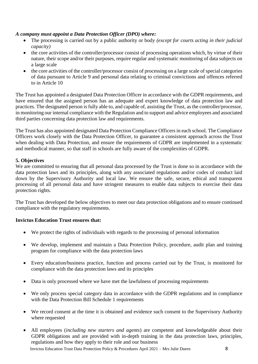## *A company must appoint a Data Protection Officer (DPO) where:*

- The processing is carried out by a public authority or body *(except for courts acting in their judicial capacity)*
- the core activities of the controller/processor consist of processing operations which, by virtue of their nature, their scope and/or their purposes, require regular and systematic monitoring of data subjects on a large scale
- the core activities of the controller/processor consist of processing on a large scale of special categories of data pursuant to Article 9 and personal data relating to criminal convictions and offences referred to in Article 10

The Trust has appointed a designated Data Protection Officer in accordance with the GDPR requirements, and have ensured that the assigned person has an adequate and expert knowledge of data protection law and practices. The designated person is fully able to, and capable of, assisting the Trust, as the controller/processor, in monitoring our internal compliance with the Regulation and to support and advice employees and associated third parties concerning data protection law and requirements.

The Trust has also appointed designated Data Protection Compliance Officers in each school. The Compliance Officers work closely with the Data Protection Officer, to guarantee a consistent approach across the Trust when dealing with Data Protection, and ensure the requirements of GDPR are implemented in a systematic and methodical manner, so that staff in schools are fully aware of the complexities of GDPR.

## **5. Objectives**

We are committed to ensuring that all personal data processed by the Trust is done so in accordance with the data protection laws and its principles, along with any associated regulations and/or codes of conduct laid down by the Supervisory Authority and local law. We ensure the safe, secure, ethical and transparent processing of all personal data and have stringent measures to enable data subjects to exercise their data protection rights.

The Trust has developed the below objectives to meet our data protection obligations and to ensure continued compliance with the regulatory requirements.

## **Invictus Education Trust ensures that:**

- We protect the rights of individuals with regards to the processing of personal information
- We develop, implement and maintain a Data Protection Policy, procedure, audit plan and training program for compliance with the data protection laws
- Every education/business practice, function and process carried out by the Trust, is monitored for compliance with the data protection laws and its principles
- Data is only processed where we have met the lawfulness of processing requirements
- We only process special category data in accordance with the GDPR regulations and in compliance with the Data Protection Bill Schedule 1 requirements
- We record consent at the time it is obtained and evidence such consent to the Supervisory Authority where requested
- Invictus Education Trust Data Protection Policy & Procedures April 2021 Mrs Julie Duern 8 • All employees (*including new starters and agents*) are competent and knowledgeable about their GDPR obligations and are provided with in-depth training in the data protection laws, principles, regulations and how they apply to their role and our business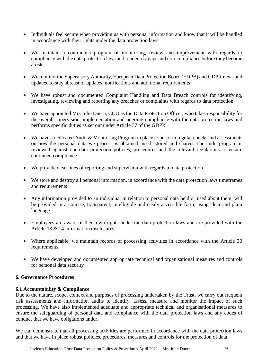- Individuals feel secure when providing us with personal information and know that it will be handled in accordance with their rights under the data protection laws
- We maintain a continuous program of monitoring, review and improvement with regards to compliance with the data protection laws and to identify gaps and non-compliance before they become a risk
- We monitor the Supervisory Authority, European Data Protection Board (EDPB) and GDPR news and updates, to stay abreast of updates, notifications and additional requirements
- We have robust and documented Complaint Handling and Data Breach controls for identifying, investigating, reviewing and reporting any breaches or complaints with regards to data protection
- We have appointed Mrs Julie Duern, COO as the Data Protection Officer, who takes responsibility for the overall supervision, implementation and ongoing compliance with the data protection laws and performs specific duties as set out under Article 37 of the GDPR
- We have a dedicated Audit & Monitoring Program in place to perform regular checks and assessments on how the personal data we process is obtained, used, stored and shared. The audit program is reviewed against our data protection policies, procedures and the relevant regulations to ensure continued compliance
- We provide clear lines of reporting and supervision with regards to data protection
- We store and destroy all personal information, in accordance with the data protection laws timeframes and requirements
- Any information provided to an individual in relation to personal data held or used about them, will be provided in a concise, transparent, intelligible and easily accessible form, using clear and plain language
- Employees are aware of their own rights under the data protection laws and are provided with the Article 13 & 14 information disclosures
- Where applicable, we maintain records of processing activities in accordance with the Article 30 requirements
- We have developed and documented appropriate technical and organisational measures and controls for personal data security

## **6. Governance Procedures**

## **6.1 Accountability & Compliance**

Due to the nature, scope, context and purposes of processing undertaken by the Trust, we carry out frequent risk assessments and information audits to identify, assess, measure and monitor the impact of such processing. We have also implemented adequate and appropriate technical and organisational measures to ensure the safeguarding of personal data and compliance with the data protection laws and any codes of conduct that we have obligations under.

We can demonstrate that all processing activities are performed in accordance with the data protection laws and that we have in place robust policies, procedures, measures and controls for the protection of data.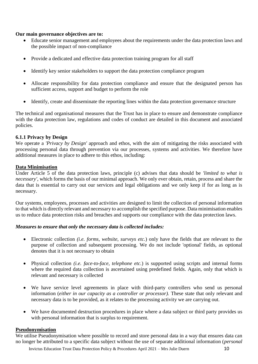#### **Our main governance objectives are to:**

- Educate senior management and employees about the requirements under the data protection laws and the possible impact of non-compliance
- Provide a dedicated and effective data protection training program for all staff
- Identify key senior stakeholders to support the data protection compliance program
- Allocate responsibility for data protection compliance and ensure that the designated person has sufficient access, support and budget to perform the role
- Identify, create and disseminate the reporting lines within the data protection governance structure

The technical and organisational measures that the Trust has in place to ensure and demonstrate compliance with the data protection law, regulations and codes of conduct are detailed in this document and associated policies.

#### **6.1.1 Privacy by Design**

We operate a *'Privacy by Design'* approach and ethos, with the aim of mitigating the risks associated with processing personal data through prevention via our processes, systems and activities. We therefore have additional measures in place to adhere to this ethos, including:

#### **Data Minimisation**

Under Article 5 of the data protection laws, principle (c) advises that data should be *'limited to what is necessary'*, which forms the basis of our minimal approach. We only ever obtain, retain, process and share the data that is essential to carry out our services and legal obligations and we only keep if for as long as is necessary.

Our systems, employees, processes and activities are designed to limit the collection of personal information to that which is directly relevant and necessary to accomplish the specified purpose. Data minimisation enables us to reduce data protection risks and breaches and supports our compliance with the data protection laws.

#### *Measures to ensure that only the necessary data is collected includes:*

- Electronic collection *(i.e. forms, website, surveys etc.*) only have the fields that are relevant to the purpose of collection and subsequent processing. We do not include 'optional' fields, as optional denotes that it is not necessary to obtain
- Physical collection *(i.e. face-to-face, telephone etc.*) is supported using scripts and internal forms where the required data collection is ascertained using predefined fields. Again, only that which is relevant and necessary is collected
- We have service level agreements in place with third-party controllers who send us personal information (*either in our capacity as a controller or processor).* These state that only relevant and necessary data is to be provided, as it relates to the processing activity we are carrying out.
- We have documented destruction procedures in place where a data subject or third party provides us with personal information that is surplus to requirement.

#### **Pseudonymisation**

We utilise Pseudonymisation where possible to record and store personal data in a way that ensures data can no longer be attributed to a specific data subject without the use of separate additional information (*personal* 

Invictus Education Trust Data Protection Policy & Procedures April 2021 – Mrs Julie Duern 10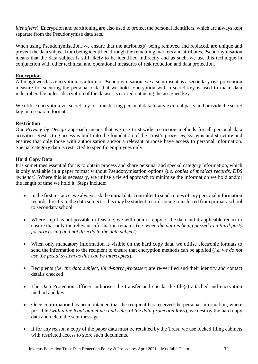*identifiers*). Encryption and partitioning are also used to protect the personal identifiers, which are always kept separate from the Pseudonymise data sets.

When using Pseudonymisation, we ensure that the attribute(s) being removed and replaced, are unique and prevent the data subject from being identified through the remaining markers and attributes. Pseudonymisation means that the data subject is still likely to be identified indirectly and as such, we use this technique in conjunction with other technical and operational measures of risk reduction and data protection.

## **Encryption**

Although we class encryption as a form of Pseudonymisation, we also utilise it as a secondary risk prevention measure for securing the personal data that we hold. Encryption with a secret key is used to make data indecipherable unless decryption of the dataset is carried out using the assigned key.

We utilise encryption via secret key for transferring personal data to any external party and provide the secret key in a separate format.

#### **Restriction**

Our *Privacy by Design* approach means that we use trust-wide restriction methods for all personal data activities. Restricting access is built into the foundation of the Trust's processes, systems and structure and ensures that only those with authorisation and/or a relevant purpose have access to personal information. Special category data is restricted to specific employees only

#### **Hard Copy Data**

It is sometimes essential for us to obtain process and share personal and special category information, which is only available in a paper format without Pseudonymisation options (*i.e. copies of medical records, DBS evidence)*. Where this is necessary, we utilise a tiered approach to minimise the information we hold and/or the length of time we hold it. Steps include:

- In the first instance, we always ask the initial data controller to send copies of any personal information records directly to the data subject – this may be student records being transferred from primary school to secondary school.
- Where step 1 is not possible or feasible, we will obtain a copy of the data and if applicable redact to ensure that only the relevant information remains (*i.e. when the data is being passed to a third party for processing and not directly to the data subject*)
- When only mandatory information is visible on the hard copy data, we utilise electronic formats to send the information to the recipient to ensure that encryption methods can be applied (*i.e. we do not use the postal system as this can be intercepted*).
- Recipients (*i.e. the data subject, third-party processer*) are re-verified and their identity and contact details checked
- The Data Protection Officer authorises the transfer and checks the file(s) attached and encryption method and key
- Once confirmation has been obtained that the recipient has received the personal information, where possible *(within the legal guidelines and rules of the data protection laws*), we destroy the hard copy data and delete the sent message
- If for any reason a copy of the paper data must be retained by the Trust, we use locked filing cabinets with restricted access to store such documents.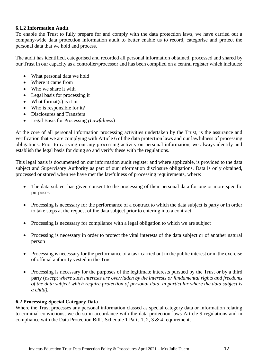## **6.1.2 Information Audit**

To enable the Trust to fully prepare for and comply with the data protection laws, we have carried out a company-wide data protection information audit to better enable us to record, categorise and protect the personal data that we hold and process.

The audit has identified, categorised and recorded all personal information obtained, processed and shared by our Trust in our capacity as a controller/processor and has been compiled on a central register which includes:

- What personal data we hold
- Where it came from
- Who we share it with
- Legal basis for processing it
- What format(s) is it in
- Who is responsible for it?
- Disclosures and Transfers
- Legal Basis for Processing *(Lawfulness*)

At the core of all personal information processing activities undertaken by the Trust, is the assurance and verification that we are complying with Article 6 of the data protection laws and our lawfulness of processing obligations. Prior to carrying out any processing activity on personal information, we always identify and establish the legal basis for doing so and verify these with the regulations.

This legal basis is documented on our information audit register and where applicable, is provided to the data subject and Supervisory Authority as part of our information disclosure obligations. Data is only obtained, processed or stored when we have met the lawfulness of processing requirements, where:

- The data subject has given consent to the processing of their personal data for one or more specific purposes
- Processing is necessary for the performance of a contract to which the data subject is party or in order to take steps at the request of the data subject prior to entering into a contract
- Processing is necessary for compliance with a legal obligation to which we are subject
- Processing is necessary in order to protect the vital interests of the data subject or of another natural person
- Processing is necessary for the performance of a task carried out in the public interest or in the exercise of official authority vested in the Trust
- Processing is necessary for the purposes of the legitimate interests pursued by the Trust or by a third party (*except where such interests are overridden by the interests or fundamental rights and freedoms of the data subject which require protection of personal data, in particular where the data subject is a child).*

## **6.2 Processing Special Category Data**

Where the Trust processes any personal information classed as special category data or information relating to criminal convictions, we do so in accordance with the data protection laws Article 9 regulations and in compliance with the Data Protection Bill's Schedule 1 Parts 1, 2, 3 & 4 requirements.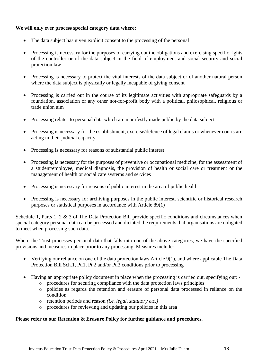## **We will only ever process special category data where:**

- The data subject has given explicit consent to the processing of the personal
- Processing is necessary for the purposes of carrying out the obligations and exercising specific rights of the controller or of the data subject in the field of employment and social security and social protection law
- Processing is necessary to protect the vital interests of the data subject or of another natural person where the data subject is physically or legally incapable of giving consent
- Processing is carried out in the course of its legitimate activities with appropriate safeguards by a foundation, association or any other not-for-profit body with a political, philosophical, religious or trade union aim
- Processing relates to personal data which are manifestly made public by the data subject
- Processing is necessary for the establishment, exercise/defence of legal claims or whenever courts are acting in their judicial capacity
- Processing is necessary for reasons of substantial public interest
- Processing is necessary for the purposes of preventive or occupational medicine, for the assessment of a student/employee, medical diagnosis, the provision of health or social care or treatment or the management of health or social care systems and services
- Processing is necessary for reasons of public interest in the area of public health
- Processing is necessary for archiving purposes in the public interest, scientific or historical research purposes or statistical purposes in accordance with Article 89(1)

Schedule 1, Parts 1, 2 & 3 of The Data Protection Bill provide specific conditions and circumstances when special category personal data can be processed and dictated the requirements that organisations are obligated to meet when processing such data.

Where the Trust processes personal data that falls into one of the above categories, we have the specified provisions and measures in place prior to any processing. Measures include:

- Verifying our reliance on one of the data protection laws Article 9(1), and where applicable The Data Protection Bill Sch.1, Pt.1, Pt.2 and/or Pt.3 conditions prior to processing
- Having an appropriate policy document in place when the processing is carried out, specifying our:
	- o procedures for securing compliance with the data protection laws principles
	- o policies as regards the retention and erasure of personal data processed in reliance on the condition
	- o retention periods and reason *(i.e. legal, statutory etc.)*
	- o procedures for reviewing and updating our policies in this area

#### **Please refer to our Retention & Erasure Policy for further guidance and procedures.**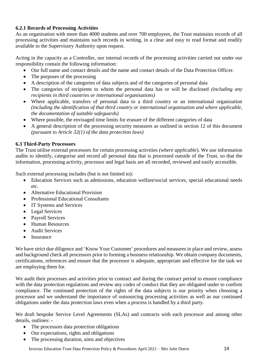## **6.2.1 Records of Processing Activities**

As an organisation with more than 4000 students and over 700 employees, the Trust maintains records of all processing activities and maintains such records in writing, in a clear and easy to read format and readily available to the Supervisory Authority upon request.

Acting in the capacity as a Controller, our internal records of the processing activities carried out under our responsibility contain the following information:

- Our full name and contact details and the name and contact details of the Data Protection Officer.
- The purposes of the processing
- A description of the categories of data subjects and of the categories of personal data
- The categories of recipients to whom the personal data has or will be disclosed *(including any recipients in third countries or international organisations)*
- Where applicable, transfers of personal data to a third country or an international organisation *(including the identification of that third country or international organisation and where applicable, the documentation of suitable safeguards)*
- Where possible, the envisaged time limits for erasure of the different categories of data
- A general description of the processing security measures as outlined in section 12 of this document *(pursuant to Article 32(1) of the data protection laws)*

## **6.3 Third-Party Processors**

The Trust utilise external processors for certain processing activities *(where applicable*). We use information audits to identify, categorise and record all personal data that is processed outside of the Trust, so that the information, processing activity, processor and legal basis are all recorded, reviewed and easily accessible.

Such external processing includes (but is not limited to):

- Education Services such as admissions, education welfare/social services, special educational needs etc.
- Alternative Educational Provision
- Professional Educational Consultants
- IT Systems and Services
- Legal Services
- Payroll Services
- Human Resources
- Audit Services
- Insurance

We have strict due diligence and 'Know Your Customer' procedures and measures in place and review, assess and background check all processors prior to forming a business relationship. We obtain company documents, certifications, references and ensure that the processor is adequate, appropriate and effective for the task we are employing them for.

We audit their processes and activities prior to contract and during the contract period to ensure compliance with the data protection regulations and review any codes of conduct that they are obligated under to confirm compliance. The continued protection of the rights of the data subjects is our priority when choosing a processor and we understand the importance of outsourcing processing activities as well as our continued obligations under the data protection laws even when a process is handled by a third party.

We draft bespoke Service Level Agreements (SLAs) and contracts with each processor and among other details, outlines: -

- The processors data protection obligations
- Our expectations, rights and obligations
- The processing duration, aims and objectives

Invictus Education Trust Data Protection Policy & Procedures April 2021 – Mrs Julie Duern 14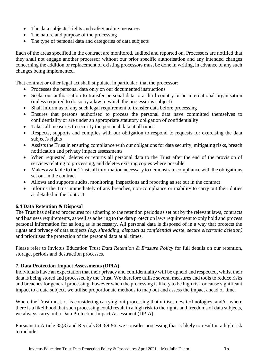- The data subjects' rights and safeguarding measures
- The nature and purpose of the processing
- The type of personal data and categories of data subjects

Each of the areas specified in the contract are monitored, audited and reported on. Processors are notified that they shall not engage another processor without our prior specific authorisation and any intended changes concerning the addition or replacement of existing processors must be done in writing, in advance of any such changes being implemented.

That contract or other legal act shall stipulate, in particular, that the processor:

- Processes the personal data only on our documented instructions
- Seeks our authorisation to transfer personal data to a third country or an international organisation (unless required to do so by a law to which the processor is subject)
- Shall inform us of any such legal requirement to transfer data before processing
- Ensures that persons authorised to process the personal data have committed themselves to confidentiality or are under an appropriate statutory obligation of confidentiality
- Takes all measures to security the personal data at all times
- Respects, supports and complies with our obligation to respond to requests for exercising the data subject's rights
- Assists the Trust in ensuring compliance with our obligations for data security, mitigating risks, breach notification and privacy impact assessments
- When requested, deletes or returns all personal data to the Trust after the end of the provision of services relating to processing, and deletes existing copies where possible
- Makes available to the Trust, all information necessary to demonstrate compliance with the obligations set out in the contract
- Allows and supports audits, monitoring, inspections and reporting as set out in the contract
- Informs the Trust immediately of any breaches, non-compliance or inability to carry out their duties as detailed in the contract

## **6.4 Data Retention & Disposal**

The Trust has defined procedures for adhering to the retention periods as set out by the relevant laws, contracts and business requirements, as well as adhering to the data protection laws requirement to only hold and process personal information for as long as is necessary. All personal data is disposed of in a way that protects the rights and privacy of data subjects *(e.g. shredding, disposal as confidential waste, secure electronic deletion)*  and prioritises the protection of the personal data at all times*.*

Please refer to Invictus Education Trust *Data Retention & Erasure Policy* for full details on our retention, storage, periods and destruction processes.

## **7. Data Protection Impact Assessments (DPIA)**

Individuals have an expectation that their privacy and confidentiality will be upheld and respected, whilst their data is being stored and processed by the Trust. We therefore utilise several measures and tools to reduce risks and breaches for general processing, however when the processing is likely to be high risk or cause significant impact to a data subject, we utilise proportionate methods to map out and assess the impact ahead of time.

Where the Trust must, or is considering carrying out-processing that utilises new technologies, and/or where there is a likelihood that such processing could result in a high risk to the rights and freedoms of data subjects, we always carry out a Data Protection Impact Assessment (DPIA).

Pursuant to Article 35(3) and Recitals 84, 89-96, we consider processing that is likely to result in a high risk to include: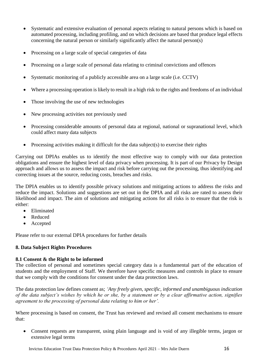- Systematic and extensive evaluation of personal aspects relating to natural persons which is based on automated processing, including profiling, and on which decisions are based that produce legal effects concerning the natural person or similarly significantly affect the natural person(s)
- Processing on a large scale of special categories of data
- Processing on a large scale of personal data relating to criminal convictions and offences
- Systematic monitoring of a publicly accessible area on a large scale (i.e. CCTV)
- Where a processing operation is likely to result in a high risk to the rights and freedoms of an individual
- Those involving the use of new technologies
- New processing activities not previously used
- Processing considerable amounts of personal data at regional, national or supranational level, which could affect many data subjects
- Processing activities making it difficult for the data subject(s) to exercise their rights

Carrying out DPIAs enables us to identify the most effective way to comply with our data protection obligations and ensure the highest level of data privacy when processing. It is part of our Privacy by Design approach and allows us to assess the impact and risk before carrying out the processing, thus identifying and correcting issues at the source, reducing costs, breaches and risks.

The DPIA enables us to identify possible privacy solutions and mitigating actions to address the risks and reduce the impact. Solutions and suggestions are set out in the DPIA and all risks are rated to assess their likelihood and impact. The aim of solutions and mitigating actions for all risks is to ensure that the risk is either:

- Eliminated
- Reduced
- Accepted

Please refer to our external DPIA procedures for further details

#### **8. Data Subject Rights Procedures**

#### **8.1 Consent & the Right to be informed**

The collection of personal and sometimes special category data is a fundamental part of the education of students and the employment of Staff. We therefore have specific measures and controls in place to ensure that we comply with the conditions for consent under the data protection laws.

The data protection law defines consent as; *'Any freely given, specific, informed and unambiguous indication of the data subject's wishes by which he or she, by a statement or by a clear affirmative action, signifies agreement to the processing of personal data relating to him or her'.*

Where processing is based on consent, the Trust has reviewed and revised all consent mechanisms to ensure that:

• Consent requests are transparent, using plain language and is void of any illegible terms, jargon or extensive legal terms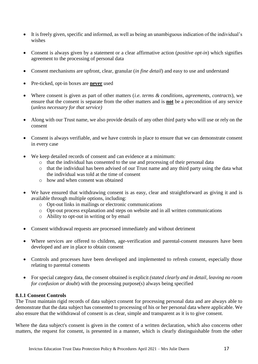- It is freely given, specific and informed, as well as being an unambiguous indication of the individual's wishes
- Consent is always given by a statement or a clear affirmative action (*positive opt-in*) which signifies agreement to the processing of personal data
- Consent mechanisms are upfront, clear, granular (*in fine detail*) and easy to use and understand
- Pre-ticked, opt-in boxes are **never** used
- Where consent is given as part of other matters (*i.e. terms & conditions, agreements, contracts*), we ensure that the consent is separate from the other matters and is **not** be a precondition of any service (*unless necessary for that service)*
- Along with our Trust name, we also provide details of any other third party who will use or rely on the consent
- Consent is always verifiable, and we have controls in place to ensure that we can demonstrate consent in every case
- We keep detailed records of consent and can evidence at a minimum:
	- o that the individual has consented to the use and processing of their personal data
	- o that the individual has been advised of our Trust name and any third party using the data what the individual was told at the time of consent
	- o how and when consent was obtained
- We have ensured that withdrawing consent is as easy, clear and straightforward as giving it and is available through multiple options, including:
	- o Opt-out links in mailings or electronic communications
	- o Opt-out process explanation and steps on website and in all written communications
	- o Ability to opt-out in writing or by email
- Consent withdrawal requests are processed immediately and without detriment
- Where services are offered to children, age-verification and parental-consent measures have been developed and are in place to obtain consent
- Controls and processes have been developed and implemented to refresh consent, especially those relating to parental consents
- For special category data, the consent obtained is explicit *(stated clearly and in detail, leaving no room for confusion or doubt*) with the processing purpose(s) always being specified

## **8.1.1 Consent Controls**

The Trust maintain rigid records of data subject consent for processing personal data and are always able to demonstrate that the data subject has consented to processing of his or her personal data where applicable. We also ensure that the withdrawal of consent is as clear, simple and transparent as it is to give consent.

Where the data subject's consent is given in the context of a written declaration, which also concerns other matters, the request for consent, is presented in a manner, which is clearly distinguishable from the other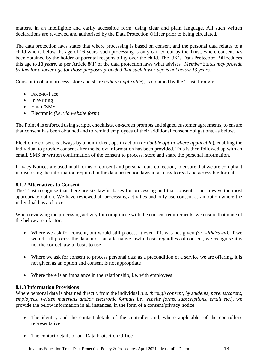matters, in an intelligible and easily accessible form, using clear and plain language. All such written declarations are reviewed and authorised by the Data Protection Officer prior to being circulated.

The data protection laws states that where processing is based on consent and the personal data relates to a child who is below the age of 16 years, such processing is only carried out by the Trust, where consent has been obtained by the holder of parental responsibility over the child. The UK's Data Protection Bill reduces this age to *13 years*, as per Article 8(1) of the data protection laws what advises *"Member States may provide by law for a lower age for those purposes provided that such lower age is not below 13 years."*

Consent to obtain process, store and share (*where applicable*), is obtained by the Trust through:

- Face-to-Face
- In Writing
- Email/SMS
- Electronic *(i.e. via website form*)

The Point 4 is enforced using scripts, checklists, on-screen prompts and signed customer agreements, to ensure that consent has been obtained and to remind employees of their additional consent obligations, as below.

Electronic consent is always by a non-ticked, opt-in action (*or double opt-in where applicable*), enabling the individual to provide consent after the below information has been provided. This is then followed up with an email, SMS or written confirmation of the consent to process, store and share the personal information.

Privacy Notices are used in all forms of consent and personal data collection, to ensure that we are compliant in disclosing the information required in the data protection laws in an easy to read and accessible format.

#### **8.1.2 Alternatives to Consent**

The Trust recognise that there are six lawful bases for processing and that consent is not always the most appropriate option. We have reviewed all processing activities and only use consent as an option where the individual has a choice.

When reviewing the processing activity for compliance with the consent requirements, we ensure that none of the below are a factor:

- Where we ask for consent, but would still process it even if it was not given *(or withdrawn).* If we would still process the data under an alternative lawful basis regardless of consent, we recognise it is not the correct lawful basis to use
- Where we ask for consent to process personal data as a precondition of a service we are offering, it is not given as an option and consent is not appropriate
- Where there is an imbalance in the relationship, i.e. with employees

#### **8.1.3 Information Provisions**

Where personal data is obtained directly from the individual *(i.e. through consent, by students, parents/carers, employees, written materials and/or electronic formats i.e. website forms, subscriptions, email etc.*), we provide the below information in all instances, in the form of a consent/privacy notice:

- The identity and the contact details of the controller and, where applicable, of the controller's representative
- The contact details of our Data Protection Officer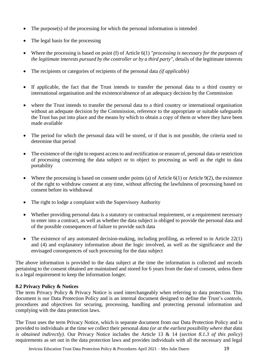- The purpose $(s)$  of the processing for which the personal information is intended
- The legal basis for the processing
- Where the processing is based on point (f) of Article 6(1) *"processing is necessary for the purposes of the legitimate interests pursued by the controller or by a third party",* details of the legitimate interests
- The recipients or categories of recipients of the personal data *(if applicable)*
- If applicable, the fact that the Trust intends to transfer the personal data to a third country or international organisation and the existence/absence of an adequacy decision by the Commission
- where the Trust intends to transfer the personal data to a third country or international organisation without an adequate decision by the Commission, reference to the appropriate or suitable safeguards the Trust has put into place and the means by which to obtain a copy of them or where they have been made available
- The period for which the personal data will be stored, or if that is not possible, the criteria used to determine that period
- The existence of the right to request access to and rectification or erasure of, personal data or restriction of processing concerning the data subject or to object to processing as well as the right to data portability
- Where the processing is based on consent under points (a) of Article  $6(1)$  or Article  $9(2)$ , the existence of the right to withdraw consent at any time, without affecting the lawfulness of processing based on consent before its withdrawal
- The right to lodge a complaint with the Supervisory Authority
- Whether providing personal data is a statutory or contractual requirement, or a requirement necessary to enter into a contract, as well as whether the data subject is obliged to provide the personal data and of the possible consequences of failure to provide such data
- The existence of any automated decision-making, including profiling, as referred to in Article 22(1) and (4) and explanatory information about the logic involved, as well as the significance and the envisaged consequences of such processing for the data subject

The above information is provided to the data subject at the time the information is collected and records pertaining to the consent obtained are maintained and stored for 6 years from the date of consent, unless there is a legal requirement to keep the information longer.

#### **8.2 Privacy Policy & Notices**

The term Privacy Policy & Privacy Notice is used interchangeably when referring to data protection. This document is our Data Protection Policy and is an internal document designed to define the Trust's controls, procedures and objectives for securing, processing, handling and protecting personal information and complying with the data protection laws.

The Trust uses the term Privacy Notice, which is separate document from our Data Protection Policy and is provided to individuals at the time we collect their personal *data (or at the earliest possibility where that data is obtained indirectly)*. Our Privacy Notice includes the Article 13 & 14 (*section 8.1.3 of this policy*) requirements as set out in the data protection laws and provides individuals with all the necessary and legal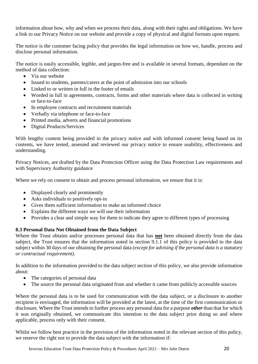information about how, why and when we process their data, along with their rights and obligations. We have a link to our Privacy Notice on our website and provide a copy of physical and digital formats upon request.

The notice is the customer facing policy that provides the legal information on how we, handle, process and disclose personal information.

The notice is easily accessible, legible, and jargon-free and is available in several formats, dependant on the method of data collection:

- Via our website
- Issued to students, parents/carers at the point of admission into our schools
- Linked to or written in full in the footer of emails
- Worded in full in agreements, contracts, forms and other materials where data is collected in writing or face-to-face
- In employee contracts and recruitment materials
- Verbally via telephone or face-to-face
- Printed media, adverts and financial promotions
- Digital Products/Services

With lengthy content being provided in the privacy notice and with informed consent being based on its contents, we have tested, assessed and reviewed our privacy notice to ensure usability, effectiveness and understanding.

Privacy Notices, are drafted by the Data Protection Officer using the Data Protection Law requirements and with Supervisory Authority guidance

Where we rely on consent to obtain and process personal information, we ensure that it is:

- Displayed clearly and prominently
- Asks individuals to positively opt-in
- Gives them sufficient information to make an informed choice
- Explains the different ways we will use their information
- Provides a clear and simple way for them to indicate they agree to different types of processing

## **8.3 Personal Data Not Obtained from the Data Subject**

Where the Trust obtains and/or processes personal data that has **not** been obtained directly from the data subject, the Trust ensures that the information noted in section 9.1.1 of this policy is provided to the data subject within 30 days of our obtaining the personal data *(except for advising if the personal data is a statutory or contractual requirement).*

In addition to the information provided to the data subject section of this policy, we also provide information about:

- The categories of personal data
- The source the personal data originated from and whether it came from publicly accessible sources

Where the personal data is to be used for communication with the data subject, or a disclosure to another recipient is envisaged, the information will be provided at the latest, at the time of the first communication or disclosure. Where the Trust intends to further process any personal data for a purpose *other* than that for which it was originally obtained, we communicate this intention to the data subject prior doing so and where applicable, process only with their consent.

Whilst we follow best practice in the provision of the information noted in the relevant section of this policy, we reserve the right not to provide the data subject with the information if: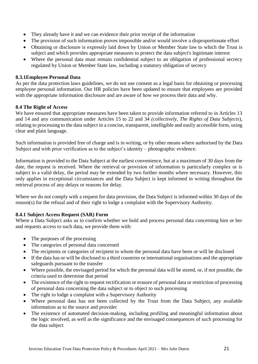- They already have it and we can evidence their prior receipt of the information
- The provision of such information proves impossible and/or would involve a disproportionate effort
- Obtaining or disclosure is expressly laid down by Union or Member State law to which the Trust is subject and which provides appropriate measures to protect the data subject's legitimate interest
- Where the personal data must remain confidential subject to an obligation of professional secrecy regulated by Union or Member State law, including a statutory obligation of secrecy

## **8.3.1Employee Personal Data**

As per the data protection laws guidelines, we do not use consent as a legal basis for obtaining or processing employee personal information. Our HR policies have been updated to ensure that employees are provided with the appropriate information disclosure and are aware of how we process their data and why.

#### **8.4 The Right of Access**

We have ensured that appropriate measures have been taken to provide information referred to in Articles 13 and 14 and any communication under Articles 15 to 22 and 34 *(collectively, The Rights of Data Subjects*), relating to processing to the data subject in a concise, transparent, intelligible and easily accessible form, using clear and plain language.

Such information is provided free of charge and is in writing, or by other means where authorised by the Data Subject and with prior verification as to the subject's identity – photographic evidence.

Information is provided to the Data Subject at the earliest convenience, but at a maximum of 30 days from the date, the request is received. Where the retrieval or provision of information is particularly complex or is subject to a valid delay, the period may be extended by two further months where necessary. However, this only applies in exceptional circumstances and the Data Subject is kept informed in writing throughout the retrieval process of any delays or reasons for delay.

Where we do not comply with a request for data provision, the Data Subject is informed within 30 days of the reason(s) for the refusal and of their right to lodge a complaint with the Supervisory Authority.

## **8.4.1 Subject Access Request (SAR) Form**

Where a Data Subject asks us to confirm whether we hold and process personal data concerning him or her and requests access to such data, we provide them with:

- The purposes of the processing
- The categories of personal data concerned
- The recipients or categories of recipient to whom the personal data have been or will be disclosed
- If the data has or will be disclosed to a third countries or international organisations and the appropriate safeguards pursuant to the transfer
- Where possible, the envisaged period for which the personal data will be stored, or, if not possible, the criteria used to determine that period
- The existence of the right to request rectification or erasure of personal data or restriction of processing of personal data concerning the data subject or to object to such processing
- The right to lodge a complaint with a Supervisory Authority
- Where personal data has not been collected by the Trust from the Data Subject, any available information as to the source and provider
- The existence of automated decision-making, including profiling and meaningful information about the logic involved, as well as the significance and the envisaged consequences of such processing for the data subject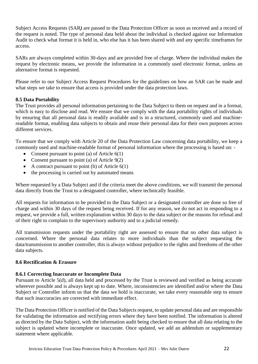Subject Access Requests (SAR*)* are passed to the Data Protection Officer as soon as received and a record of the request is noted. The type of personal data held about the individual is checked against our Information Audit to check what format it is held in, who else has it has been shared with and any specific timeframes for access.

SARs are always completed within 30-days and are provided free of charge. Where the individual makes the request by electronic means, we provide the information in a commonly used electronic format, unless an alternative format is requested.

Please refer to our Subject Access Request Procedures for the guidelines on how an SAR can be made and what steps we take to ensure that access is provided under the data protection laws.

## **8.5 Data Portability**

The Trust provides all personal information pertaining to the Data Subject to them on request and in a format, which is easy to disclose and read. We ensure that we comply with the data portability rights of individuals by ensuring that all personal data is readily available and is in a structured, commonly used and machinereadable format, enabling data subjects to obtain and reuse their personal data for their own purposes across different services.

To ensure that we comply with Article 20 of the Data Protection Law concerning data portability, we keep a commonly used and machine-readable format of personal information where the processing is based on: -

- Consent pursuant to point (a) of Article  $6(1)$
- Consent pursuant to point (a) of Article 9(2)
- A contract pursuant to point (b) of Article  $6(1)$
- the processing is carried out by automated means

Where requested by a Data Subject and if the criteria meet the above conditions, we will transmit the personal data directly from the Trust to a designated controller, where technically feasible.

All requests for information to be provided to the Data Subject or a designated controller are done so free of charge and within 30 days of the request being received. If for any reason, we do not act in responding to a request, we provide a full, written explanation within 30 days to the data subject or the reasons for refusal and of their right to complain to the supervisory authority and to a judicial remedy.

All transmission requests under the portability right are assessed to ensure that no other data subject is concerned. Where the personal data relates to more individuals than the subject requesting the data/transmission to another controller, this is always without prejudice to the rights and freedoms of the other data subjects.

## **8.6 Rectification & Erasure**

#### **8.6.1 Correcting Inaccurate or Incomplete Data**

Pursuant to Article 5(d), all data held and processed by the Trust is reviewed and verified as being accurate wherever possible and is always kept up to date. Where, inconsistencies are identified and/or where the Data Subject or Controller inform us that the data we hold is inaccurate, we take every reasonable step to ensure that such inaccuracies are corrected with immediate effect.

The Data Protection Officer is notified of the Data Subjects request, to update personal data and are responsible for validating the information and rectifying errors where they have been notified. The information is altered as directed by the Data Subject, with the information audit being checked to ensure that all data relating to the subject is updated where incomplete or inaccurate. Once updated, we add an addendum or supplementary statement where applicable.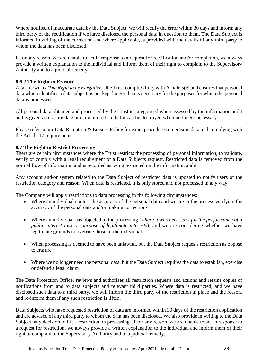Where notified of inaccurate data by the Data Subject, we will rectify the error within 30 days and inform any third party of the rectification if we have disclosed the personal data in question to them. The Data Subject is informed in writing of the correction and where applicable, is provided with the details of any third party to whom the data has been disclosed.

If for any reason, we are unable to act in response to a request for rectification and/or completion, we always provide a written explanation to the individual and inform them of their right to complain to the Supervisory Authority and to a judicial remedy.

## **8.6.2 The Right to Erasure**

Also known as *'The Right to be Forgotten'*, the Trust complies fully with Article 5(e) and ensures that personal data which identifies a data subject, is not kept longer than is necessary for the purposes for which the personal data is processed.

All personal data obtained and processed by the Trust is categorised when assessed by the information audit and is given an erasure date or is monitored so that it can be destroyed when no longer necessary.

Please refer to our Data Retention & Erasure Policy for exact procedures on erasing data and complying with the Article 17 requirements.

## **8.7 The Right to Restrict Processing**

There are certain circumstances where the Trust restricts the processing of personal information, to validate, verify or comply with a legal requirement of a Data Subjects request. Restricted data is removed from the normal flow of information and is recorded as being restricted on the information audit.

Any account and/or system related to the Data Subject of restricted data is updated to notify users of the restriction category and reason. When data is restricted, it is only stored and not processed in any way.

The Company will apply restrictions to data processing in the following circumstances:

- Where an individual contest the accuracy of the personal data and we are in the process verifying the accuracy of the personal data and/or making corrections
- Where an individual has objected to the processing (*where it was necessary for the performance of a public interest task or purpose of legitimate interests*), and we are considering whether we have legitimate grounds to override those of the individual
- When processing is deemed to have been unlawful, but the Data Subject requests restriction as oppose to erasure
- Where we no longer need the personal data, but the Data Subject requires the data to establish, exercise or defend a legal claim

The Data Protection Officer reviews and authorises all restriction requests and actions and retains copies of notifications from and to data subjects and relevant third parties. Where data is restricted, and we have disclosed such data to a third party, we will inform the third party of the restriction in place and the reason, and re-inform them if any such restriction is lifted.

Data Subjects who have requested restriction of data are informed within 30 days of the restriction application and are advised of any third party to whom the data has been disclosed. We also provide in writing to the Data Subject, any decision to lift a restriction on processing. If for any reason, we are unable to act in response to a request for restriction, we always provide a written explanation to the individual and inform them of their right to complain to the Supervisory Authority and to a judicial remedy.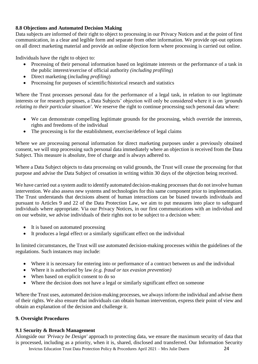## **8.8 Objections and Automated Decision Making**

Data subjects are informed of their right to object to processing in our Privacy Notices and at the point of first communication, in a clear and legible form and separate from other information. We provide opt-out options on all direct marketing material and provide an online objection form where processing is carried out online.

Individuals have the right to object to:

- Processing of their personal information based on legitimate interests or the performance of a task in the public interest/exercise of official authority *(including profiling*)
- Direct marketing (*including profiling*)
- Processing for purposes of scientific/historical research and statistics

Where the Trust processes personal data for the performance of a legal task, in relation to our legitimate interests or for research purposes, a Data Subjects' objection will only be considered where it is on *'grounds relating to their particular situation'*. We reserve the right to continue processing such personal data where:

- We can demonstrate compelling legitimate grounds for the processing, which override the interests, rights and freedoms of the individual
- The processing is for the establishment, exercise/defence of legal claims

Where we are processing personal information for direct marketing purposes under a previously obtained consent, we will stop processing such personal data immediately where an objection is received from the Data Subject. This measure is absolute, free of charge and is always adhered to.

Where a Data Subject objects to data processing on valid grounds, the Trust will cease the processing for that purpose and advise the Data Subject of cessation in writing within 30 days of the objection being received.

We have carried out a system audit to identify automated decision-making processes that do not involve human intervention. We also assess new systems and technologies for this same component prior to implementation. The Trust understands that decisions absent of human interactions can be biased towards individuals and pursuant to Articles 9 and 22 of the Data Protection Law, we aim to put measures into place to safeguard individuals where appropriate. Via our Privacy Notices, in our first communications with an individual and on our website, we advise individuals of their rights not to be subject to a decision when:

- It is based on automated processing
- It produces a legal effect or a similarly significant effect on the individual

In limited circumstances, the Trust will use automated decision-making processes within the guidelines of the regulations. Such instances may include:

- Where it is necessary for entering into or performance of a contract between us and the individual
- Where it is authorised by law *(e.g. fraud or tax evasion prevention)*
- When based on explicit consent to do so
- Where the decision does not have a legal or similarly significant effect on someone

Where the Trust uses, automated decision-making processes, we always inform the individual and advise them of their rights. We also ensure that individuals can obtain human intervention, express their point of view and obtain an explanation of the decision and challenge it.

## **9. Oversight Procedures**

## **9.1 Security & Breach Management**

Invictus Education Trust Data Protection Policy & Procedures April 2021 – Mrs Julie Duern 24 Alongside our *'Privacy be Design'* approach to protecting data, we ensure the maximum security of data that is processed, including as a priority, when it is, shared, disclosed and transferred. Our Information Security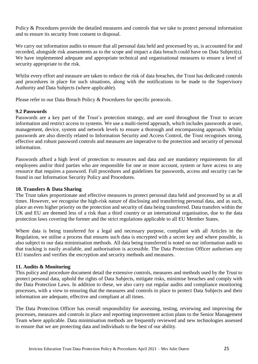Policy & Procedures provide the detailed measures and controls that we take to protect personal information and to ensure its security from consent to disposal.

We carry out information audits to ensure that all personal data held and processed by us, is accounted for and recorded, alongside risk assessments as to the scope and impact a data breach could have on Data Subject(s). We have implemented adequate and appropriate technical and organisational measures to ensure a level of security appropriate to the risk.

Whilst every effort and measure are taken to reduce the risk of data breaches, the Trust has dedicated controls and procedures in place for such situations, along with the notifications to be made to the Supervisory Authority and Data Subjects (where applicable).

Please refer to our Data Breach Policy & Procedures for specific protocols.

#### **9.2 Passwords**

Passwords are a key part of the Trust's protection strategy, and are used throughout the Trust to secure information and restrict access to systems. We use a multi-tiered approach, which includes passwords at user, management, device, system and network levels to ensure a thorough and encompassing approach. Whilst passwords are also directly related to Information Security and Access Control, the Trust recognises strong, effective and robust password controls and measures are imperative to the protection and security of personal information.

Passwords afford a high level of protection to resources and data and are mandatory requirements for all employees and/or third parties who are responsible for one or more account, system or have access to any resource that requires a password. Full procedures and guidelines for passwords, access and security can be found in our Information Security Policy and Procedures.

#### **10. Transfers & Data Sharing**

The Trust takes proportionate and effective measures to protect personal data held and processed by us at all times. However, we recognise the high-risk nature of disclosing and transferring personal data, and as such, place an even higher priority on the protection and security of data being transferred. Data transfers within the UK and EU are deemed less of a risk than a third country or an international organisation, due to the data protection laws covering the former and the strict regulations applicable to all EU Member States.

Where data is being transferred for a legal and necessary purpose, compliant with all Articles in the Regulation, we utilise a process that ensures such data is encrypted with a secret key and where possible, is also subject to our data minimisation methods. All data being transferred is noted on our information audit so that tracking is easily available, and authorisation is accessible. The Data Protection Officer authorises any EU transfers and verifies the encryption and security methods and measures.

## **11. Audits & Monitoring**

This policy and procedure document detail the extensive controls, measures and methods used by the Trust to protect personal data, uphold the rights of Data Subjects, mitigate risks, minimise breaches and comply with the Data Protection Laws. In addition to these, we also carry out regular audits and compliance monitoring processes, with a view to ensuring that the measures and controls in place to protect Data Subjects and their information are adequate, effective and compliant at all times.

The Data Protection Officer has overall responsibility for assessing, testing, reviewing and improving the processes, measures and controls in place and reporting improvement action plans to the Senior Management Team where applicable. Data minimisation methods are frequently reviewed and new technologies assessed to ensure that we are protecting data and individuals to the best of our ability.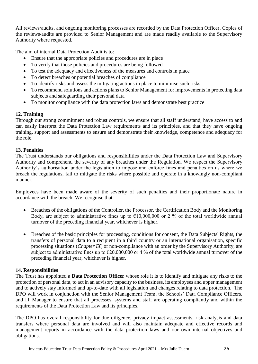All reviews/audits, and ongoing monitoring processes are recorded by the Data Protection Officer. Copies of the reviews/audits are provided to Senior Management and are made readily available to the Supervisory Authority where requested.

The aim of internal Data Protection Audit is to:

- Ensure that the appropriate policies and procedures are in place
- To verify that those policies and procedures are being followed
- To test the adequacy and effectiveness of the measures and controls in place
- To detect breaches or potential breaches of compliance
- To identify risks and assess the mitigating actions in place to minimise such risks
- To recommend solutions and actions plans to Senior Management for improvements in protecting data subjects and safeguarding their personal data
- To monitor compliance with the data protection laws and demonstrate best practice

## **12. Training**

Through our strong commitment and robust controls, we ensure that all staff understand, have access to and can easily interpret the Data Protection Law requirements and its principles, and that they have ongoing training, support and assessments to ensure and demonstrate their knowledge, competence and adequacy for the role.

## **13. Penalties**

The Trust understands our obligations and responsibilities under the Data Protection Law and Supervisory Authority and comprehend the severity of any breaches under the Regulation. We respect the Supervisory Authority's authorisation under the legislation to impose and enforce fines and penalties on us where we breach the regulations, fail to mitigate the risks where possible and operate in a knowingly non-compliant manner.

Employees have been made aware of the severity of such penalties and their proportionate nature in accordance with the breach. We recognise that:

- Breaches of the obligations of the Controller, the Processor, the Certification Body and the Monitoring Body, are subject to administrative fines up to  $\epsilon$ 10,000,000 or 2 % of the total worldwide annual turnover of the preceding financial year, whichever is higher.
- Breaches of the basic principles for processing, conditions for consent, the Data Subjects' Rights, the transfers of personal data to a recipient in a third country or an international organisation, specific processing situations (*Chapter IX*) or non-compliance with an order by the Supervisory Authority, are subject to administrative fines up to  $\epsilon$ 20,000,000 or 4 % of the total worldwide annual turnover of the preceding financial year, whichever is higher.

## **14. Responsibilities**

The Trust has appointed a **Data Protection Officer** whose role it is to identify and mitigate any risks to the protection of personal data, to act in an advisory capacity to the business, its employees and upper management and to actively stay informed and up-to-date with all legislation and changes relating to data protection. The DPO will work in conjunction with the Senior Management Team, the Schools' Data Compliance Officers, and IT Manager to ensure that all processes, systems and staff are operating compliantly and within the requirements of the Data Protection Law and its principles.

The DPO has overall responsibility for due diligence, privacy impact assessments, risk analysis and data transfers where personal data are involved and will also maintain adequate and effective records and management reports in accordance with the data protection laws and our own internal objectives and obligations.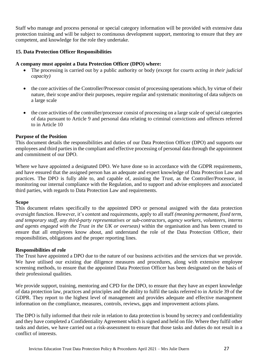Staff who manage and process personal or special category information will be provided with extensive data protection training and will be subject to continuous development support, mentoring to ensure that they are competent, and knowledge for the role they undertake.

## **15. Data Protection Officer Responsibilities**

## **A company must appoint a Data Protection Officer (DPO) where:**

- The processing is carried out by a public authority or body (except for co*urts acting in their judicial capacity)*
- the core activities of the Controller/Processor consist of processing operations which, by virtue of their nature, their scope and/or their purposes, require regular and systematic monitoring of data subjects on a large scale
- the core activities of the controller/processor consist of processing on a large scale of special categories of data pursuant to Article 9 and personal data relating to criminal convictions and offences referred to in Article 10

#### **Purpose of the Position**

This document details the responsibilities and duties of our Data Protection Officer (DPO) and supports our employees and third parties in the compliant and effective processing of personal data through the appointment and commitment of our DPO.

Where we have appointed a designated DPO. We have done so in accordance with the GDPR requirements, and have ensured that the assigned person has an adequate and expert knowledge of Data Protection Law and practices. The DPO is fully able to, and capable of, assisting the Trust, as the Controller/Processor, in monitoring our internal compliance with the Regulation, and to support and advise employees and associated third parties, with regards to Data Protection Law and requirements.

#### **Scope**

This document relates specifically to the appointed DPO or personal assigned with the data protection oversight function. However, it's content and requirements, apply to all staff *(meaning permanent, fixed term, and temporary staff, any third-party representatives or sub-contractors, agency workers, volunteers, interns and agents engaged with the Trust in the UK or overseas)* within the organisation and has been created to ensure that all employees know about, and understand the role of the Data Protection Officer, their responsibilities, obligations and the proper reporting lines.

## **Responsibilities of role**

The Trust have appointed a DPO due to the nature of our business activities and the services that we provide. We have utilised our existing due diligence measures and procedures, along with extensive employee screening methods, to ensure that the appointed Data Protection Officer has been designated on the basis of their professional qualities.

We provide support, training, mentoring and CPD for the DPO, to ensure that they have an expert knowledge of data protection law, practices and principles and the ability to fulfil the tasks referred to in Article 39 of the GDPR. They report to the highest level of management and provides adequate and effective management information on the compliance, measures, controls, reviews, gaps and improvement actions plans.

The DPO is fully informed that their role in relation to data protection is bound by secrecy and confidentiality and they have completed a Confidentiality Agreement which is signed and held on file. Where they fulfil other tasks and duties, we have carried out a risk-assessment to ensure that those tasks and duties do not result in a conflict of interests.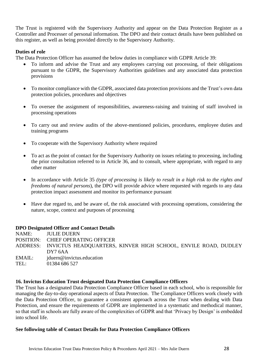The Trust is registered with the Supervisory Authority and appear on the Data Protection Register as a Controller and Processer of personal information. The DPO and their contact details have been published on this register, as well as being provided directly to the Supervisory Authority.

## **Duties of role**

The Data Protection Officer has assumed the below duties in compliance with GDPR Article 39:

- To inform and advise the Trust and any employees carrying out processing, of their obligations pursuant to the GDPR, the Supervisory Authorities guidelines and any associated data protection provisions
- To monitor compliance with the GDPR, associated data protection provisions and the Trust's own data protection policies, procedures and objectives
- To oversee the assignment of responsibilities, awareness-raising and training of staff involved in processing operations
- To carry out and review audits of the above-mentioned policies, procedures, employee duties and training programs
- To cooperate with the Supervisory Authority where required
- To act as the point of contact for the Supervisory Authority on issues relating to processing, including the prior consultation referred to in Article 36, and to consult, where appropriate, with regard to any other matter
- In accordance with Article 35 *(type of processing is likely to result in a high risk to the rights and freedoms of natural persons*), the DPO will provide advice where requested with regards to any data protection impact assessment and monitor its performance pursuant
- Have due regard to, and be aware of, the risk associated with processing operations, considering the nature, scope, context and purposes of processing

#### **DPO Designated Officer and Contact Details**

NAME: JULIE DUERN POSITION: CHIEF OPERATING OFFICER ADDRESS: INVICTUS HEADQUARTERS, KINVER HIGH SCHOOL, ENVILE ROAD, DUDLEY DY7 6AA EMAIL: jduern@invictus.education TEL: 01384 686 527

#### **16. Invictus Education Trust designated Data Protection Compliance Officers**

The Trust has a designated Data Protection Compliance Officer based in each school, who is responsible for managing the day-to-day operational aspects of Data Protection. The Compliance Officers work closely with the Data Protection Officer, to guarantee a consistent approach across the Trust when dealing with Data Protection, and ensure the requirements of GDPR are implemented in a systematic and methodical manner, so that staff in schools are fully aware of the complexities of GDPR and that 'Privacy by Design' is embedded into school life.

#### **See following table of Contact Details for Data Protection Compliance Officers**